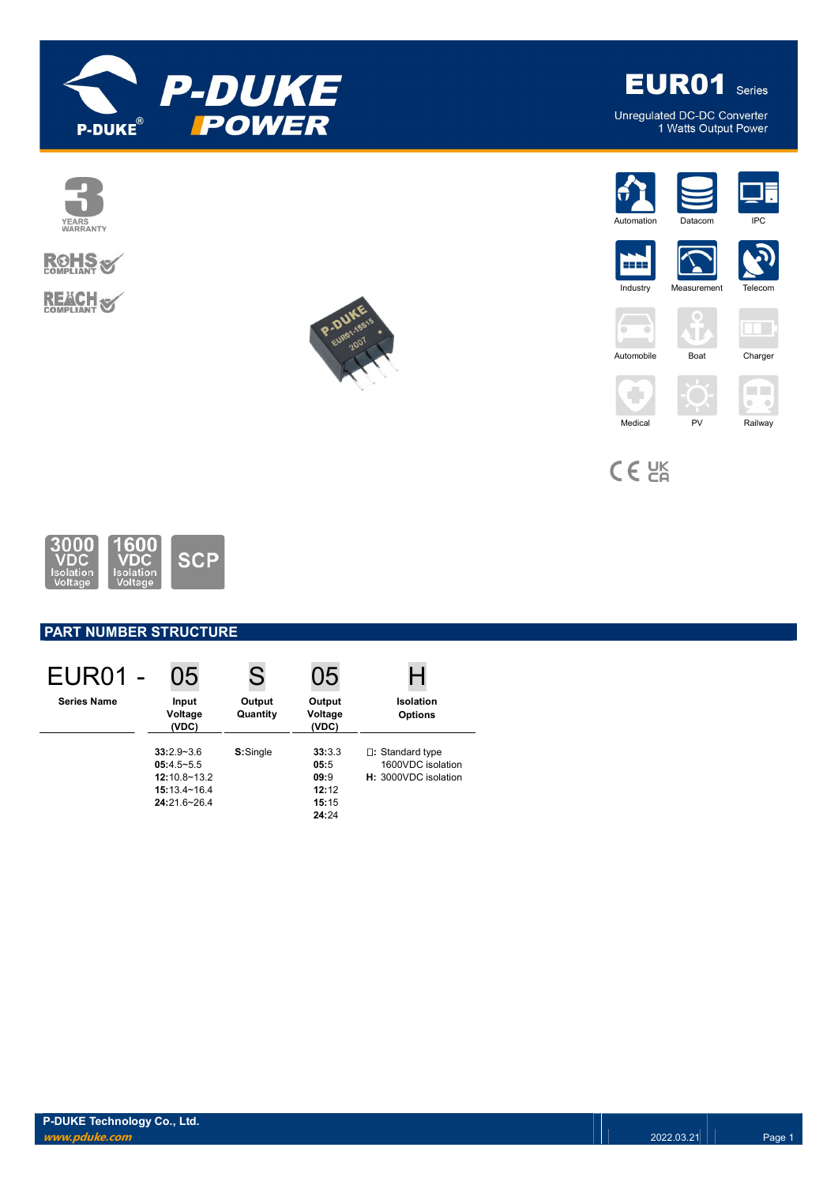









Unregulated DC-DC Converter<br>1 Watts Output Power





5555 ≻ **Industry** 



 $\rightarrow$  $\sqrt{2}$ ЧT.  $\sim$ Automobile Boat Charger





 $C \in \frac{UK}{C}$ 

÷



# **PART NUMBER STRUCTURE**

| <b>EUR01 -</b>     | 05                                                                                   |                    | 05                                                |                                                                     |
|--------------------|--------------------------------------------------------------------------------------|--------------------|---------------------------------------------------|---------------------------------------------------------------------|
| <b>Series Name</b> | Input<br>Voltage<br>(VDC)                                                            | Output<br>Quantity | Output<br>Voltage<br>(VDC)                        | Isolation<br><b>Options</b>                                         |
|                    | $33:2.9 - 3.6$<br>$05:4.5-5.5$<br>$12:10.8 - 13.2$<br>15:13.4~16.4<br>$24:216 - 264$ | S:Single           | 33:3.3<br>05:5<br>09:9<br>12:12<br>15:15<br>24:24 | $\Box$ : Standard type<br>1600VDC isolation<br>H: 3000VDC isolation |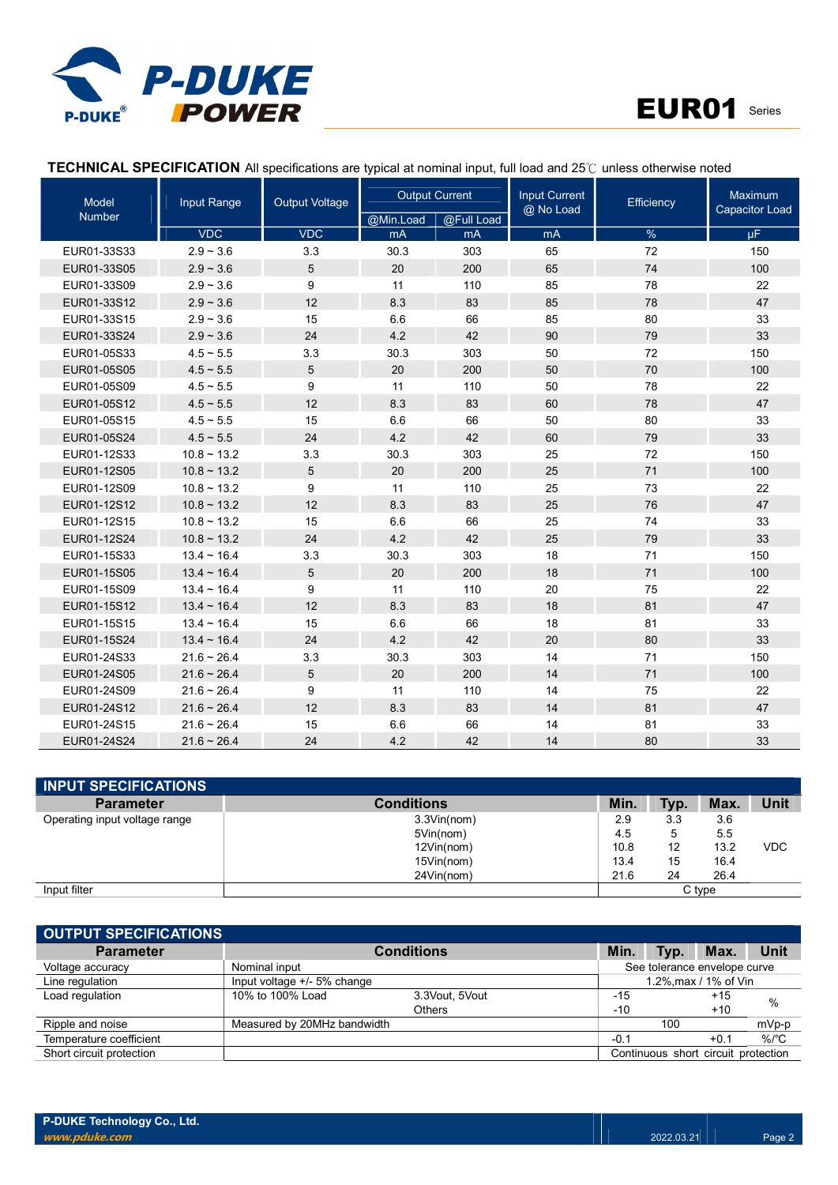



# TECHNICAL SPECIFICATION All specifications are typical at nominal input, full load and 25℃ unless otherwise noted

| <b>Model</b>  | Input Range         | <b>Output Voltage</b> | <b>Output Current</b> |            | <b>Input Current</b><br>@ No Load | Efficiency | Maximum<br><b>Capacitor Load</b> |  |
|---------------|---------------------|-----------------------|-----------------------|------------|-----------------------------------|------------|----------------------------------|--|
| <b>Number</b> |                     |                       | @Min.Load             | @Full Load |                                   |            |                                  |  |
|               | <b>VDC</b>          | <b>VDC</b>            | mA                    | mA         | mA                                | $\%$       | μF.                              |  |
| EUR01-33S33   | $2.9 - 3.6$         | 3.3                   | 30.3                  | 303        | 65                                | 72         | 150                              |  |
| EUR01-33S05   | $2.9 - 3.6$         | 5                     | 20                    | 200        | 65                                | 74         | 100                              |  |
| EUR01-33S09   | $2.9 - 3.6$         | 9                     | 11                    | 110        | 85                                | 78         | 22                               |  |
| EUR01-33S12   | $2.9 - 3.6$         | 12                    | 8.3                   | 83         | 85                                | 78         | 47                               |  |
| EUR01-33S15   | $2.9 - 3.6$         | 15                    | 6.6                   | 66         | 85                                | 80         | 33                               |  |
| EUR01-33S24   | $2.9 - 3.6$         | 24                    | 4.2                   | 42         | 90                                | 79         | 33                               |  |
| EUR01-05S33   | $4.5 \sim 5.5$      | 3.3                   | 30.3                  | 303        | 50                                | 72         | 150                              |  |
| EUR01-05S05   | $4.5 - 5.5$         | 5                     | 20                    | 200        | 50                                | 70         | 100                              |  |
| EUR01-05S09   | $4.5 \sim 5.5$      | 9                     | 11                    | 110        | 50                                | 78         | 22                               |  |
| EUR01-05S12   | $4.5 \sim 5.5$      | 12                    | 8.3                   | 83         | 60                                | 78         | 47                               |  |
| EUR01-05S15   | $4.5 \sim 5.5$      | 15                    | 6.6                   | 66         | 50                                | 80         | 33                               |  |
| EUR01-05S24   | $4.5 \sim 5.5$      | 24                    | 4.2                   | 42         | 60                                | 79         | 33                               |  |
| EUR01-12S33   | $10.8 - 13.2$       | 3.3                   | 30.3                  | 303        | 25                                | 72         | 150                              |  |
| EUR01-12S05   | $10.8 - 13.2$       | 5                     | 20                    | 200        | 25                                | 71         | 100                              |  |
| EUR01-12S09   | $10.8 \sim 13.2$    | 9                     | 11                    | 110        | 25                                | 73         | 22                               |  |
| EUR01-12S12   | $10.8 \sim 13.2$    | 12                    | 8.3                   | 83         | 25                                | 76         | 47                               |  |
| EUR01-12S15   | $10.8 - 13.2$       | 15                    | 6.6                   | 66         | 25                                | 74         | 33                               |  |
| EUR01-12S24   | $10.8 \sim 13.2$    | 24                    | 4.2                   | 42         | 25                                | 79         | 33                               |  |
| EUR01-15S33   | $13.4 \sim 16.4$    | 3.3                   | 30.3                  | 303        | 18                                | 71         | 150                              |  |
| EUR01-15S05   | $13.4 \sim 16.4$    | 5                     | 20                    | 200        | 18                                | 71         | 100                              |  |
| EUR01-15S09   | $13.4 \sim 16.4$    | 9                     | 11                    | 110        | 20                                | 75         | 22                               |  |
| EUR01-15S12   | $13.4 \sim 16.4$    | 12                    | 8.3                   | 83         | 18                                | 81         | 47                               |  |
| EUR01-15S15   | $13.4 \sim 16.4$    | 15                    | 6.6                   | 66         | 18                                | 81         | 33                               |  |
| EUR01-15S24   | $13.4 - 16.4$       | 24                    | 4.2                   | 42         | 20                                | 80         | 33                               |  |
| EUR01-24S33   | $21.6 \sim 26.4$    | 3.3                   | 30.3                  | 303        | 14                                | 71         | 150                              |  |
| EUR01-24S05   | $21.6 - 26.4$       | 5                     | 20                    | 200        | 14                                | 71         | 100                              |  |
| EUR01-24S09   | $21.6 - 26.4$       | 9                     | 11                    | 110        | 14                                | 75         | 22                               |  |
| EUR01-24S12   | $21.6 - 26.4$       | 12                    | 8.3                   | 83         | 14                                | 81         | 47                               |  |
| EUR01-24S15   | $21.6 - 26.4$       | 15                    | 6.6                   | 66         | 14                                | 81         | 33                               |  |
| EUR01-24S24   | $21.6 \approx 26.4$ | 24                    | 4.2                   | 42         | 14                                | 80         | 33                               |  |

| <b>INPUT SPECIFICATIONS</b>   |             |      |      |        |            |
|-------------------------------|-------------|------|------|--------|------------|
| <b>Parameter</b>              | Conditions  | Min. | Typ. | Max.   | Unit       |
| Operating input voltage range | 3.3Vin(nom) | 2.9  | 3.3  | 3.6    |            |
|                               | 5Vin(nom)   | 4.5  | 5    | 5.5    |            |
|                               | 12Vin(nom)  | 10.8 | 12   | 13.2   | <b>VDC</b> |
|                               | 15Vin(nom)  | 13.4 | 15   | 16.4   |            |
|                               | 24Vin(nom)  | 21.6 | 24   | 26.4   |            |
| Input filter                  |             |      |      | C type |            |

| <b>OUTPUT SPECIFICATIONS</b> |                             |                   |        |                                     |                 |  |
|------------------------------|-----------------------------|-------------------|--------|-------------------------------------|-----------------|--|
| <b>Parameter</b>             |                             | <b>Conditions</b> | Min.   | <b>Max</b><br>Tvp.                  | Unit            |  |
| Voltage accuracy             | Nominal input               |                   |        | See tolerance envelope curve        |                 |  |
| Line regulation              | Input voltage +/- 5% change |                   |        | 1.2%, max / 1% of Vin               |                 |  |
| Load regulation              | 10% to 100% Load            | 3.3Vout. 5Vout    | $-15$  | $+15$                               |                 |  |
|                              |                             | <b>Others</b>     | $-10$  | $+10$                               | %               |  |
| Ripple and noise             | Measured by 20MHz bandwidth |                   |        | 100                                 | mVp-p           |  |
| Temperature coefficient      |                             |                   | $-0.1$ | $+0.1$                              | %/ $^{\circ}$ C |  |
| Short circuit protection     |                             |                   |        | Continuous short circuit protection |                 |  |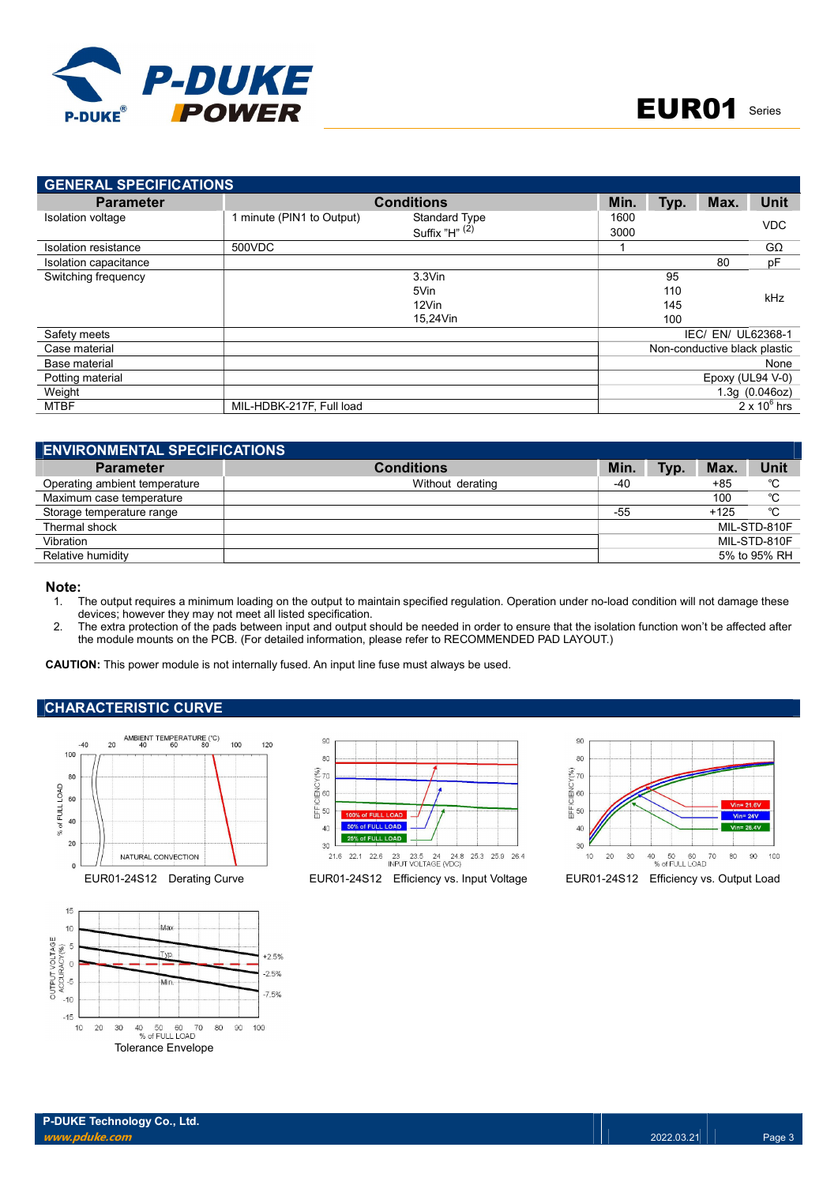

| <b>GENERAL SPECIFICATIONS</b> |                           |                      |      |      |                              |                     |
|-------------------------------|---------------------------|----------------------|------|------|------------------------------|---------------------|
| <b>Parameter</b>              |                           | <b>Conditions</b>    | Min. | Typ. | Max.                         | Unit                |
| Isolation voltage             | 1 minute (PIN1 to Output) | <b>Standard Type</b> | 1600 |      |                              | <b>VDC</b>          |
|                               |                           | Suffix " $H$ " $(2)$ | 3000 |      |                              |                     |
| Isolation resistance          | 500VDC                    |                      |      |      |                              | $G\Omega$           |
| Isolation capacitance         |                           |                      |      |      | 80                           | pF                  |
| Switching frequency           |                           | $3.3$ Vin            |      | 95   |                              |                     |
|                               |                           | 5Vin                 |      | 110  |                              | kHz                 |
|                               |                           | 12Vin                |      | 145  |                              |                     |
|                               |                           | 15,24Vin             |      | 100  |                              |                     |
| Safety meets                  |                           |                      |      |      | IEC/ EN/ UL62368-1           |                     |
| Case material                 |                           |                      |      |      | Non-conductive black plastic |                     |
| Base material                 |                           |                      |      |      |                              | None                |
| Potting material              |                           |                      |      |      | Epoxy (UL94 $V-0$ )          |                     |
| Weight                        |                           |                      |      |      |                              | 1.3q(0.046oz)       |
| MTBF                          | MIL-HDBK-217F, Full load  |                      |      |      |                              | $2 \times 10^6$ hrs |

| <b>ENVIRONMENTAL SPECIFICATIONS</b> |                   |       |      |            |              |
|-------------------------------------|-------------------|-------|------|------------|--------------|
| <b>Parameter</b>                    | <b>Conditions</b> | Min.  | Typ. | <b>Max</b> | Unit         |
| Operating ambient temperature       | Without derating  | -40   |      | $+85$      | °C           |
| Maximum case temperature            |                   |       |      | 100        | °C           |
| Storage temperature range           |                   | $-55$ |      | $+125$     | °C           |
| Thermal shock                       |                   |       |      |            | MIL-STD-810F |
| Vibration                           |                   |       |      |            | MIL-STD-810F |
| Relative humidity                   |                   |       |      |            | 5% to 95% RH |

#### Note:

- 1. The output requires a minimum loading on the output to maintain specified regulation. Operation under no-load condition will not damage these devices; however they may not meet all listed specification.
- 2. The extra protection of the pads between input and output should be needed in order to ensure that the isolation function won't be affected after the module mounts on the PCB. (For detailed information, please refer to RECOMMENDED PAD LAYOUT.)

CAUTION: This power module is not internally fused. An input line fuse must always be used.

#### CHARACTERISTIC CURVE







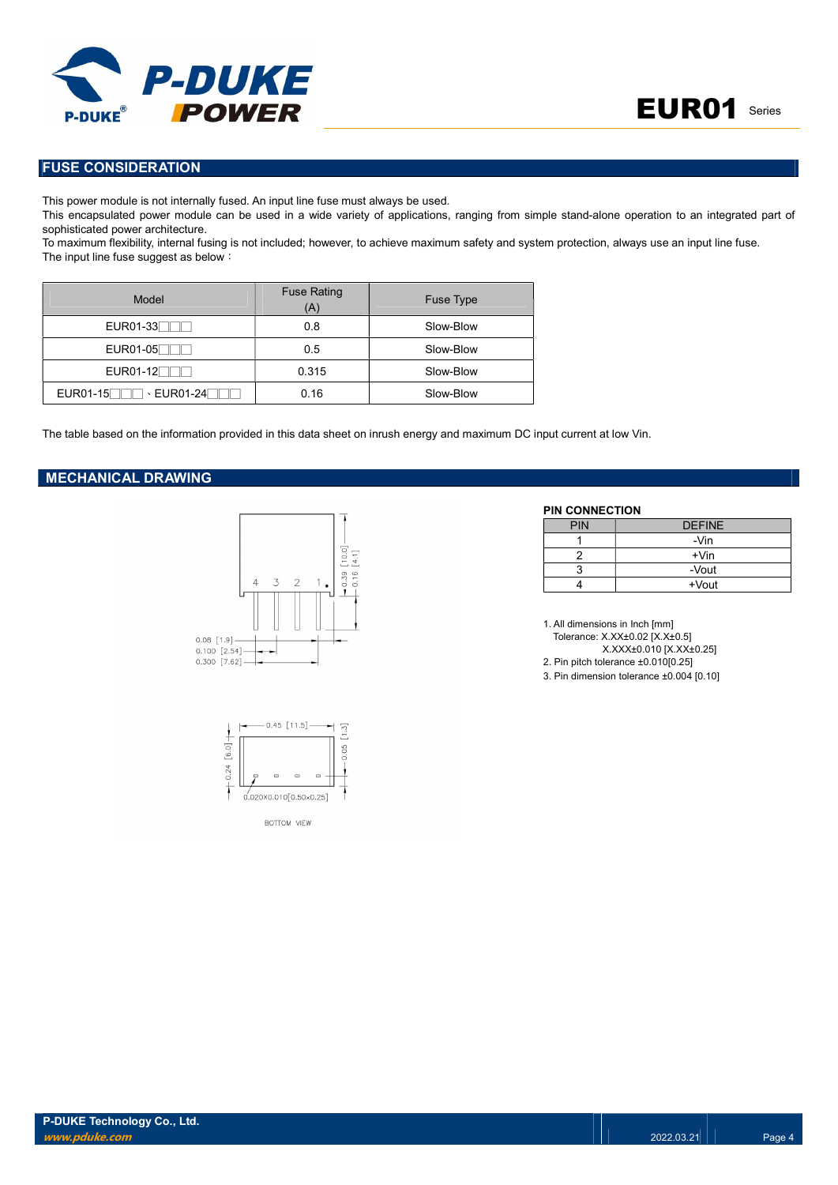

## FUSE CONSIDERATION

This power module is not internally fused. An input line fuse must always be used.

This encapsulated power module can be used in a wide variety of applications, ranging from simple stand-alone operation to an integrated part of sophisticated power architecture.

To maximum flexibility, internal fusing is not included; however, to achieve maximum safety and system protection, always use an input line fuse. The input line fuse suggest as below:

| Model      | <b>Fuse Rating</b><br>(A) | Fuse Type |
|------------|---------------------------|-----------|
| $EUR01-33$ | 0.8                       | Slow-Blow |
| $EUR01-05$ | 0.5                       | Slow-Blow |
| $EUR01-12$ | 0.315                     | Slow-Blow |
|            | 0.16                      | Slow-Blow |

The table based on the information provided in this data sheet on inrush energy and maximum DC input current at low Vin.

#### MECHANICAL DRAWING





PIN CONNECTION

| <b>PIN</b> | <b>DEFINE</b> |
|------------|---------------|
|            | -Vin          |
|            | $+V$ in       |
|            | -Vout         |
|            | +Vout         |

1. All dimensions in Inch [mm] Tolerance: X.XX±0.02 [X.X±0.5] X.XXX±0.010 [X.XX±0.25] 2. Pin pitch tolerance ±0.010[0.25] 3. Pin dimension tolerance ±0.004 [0.10]